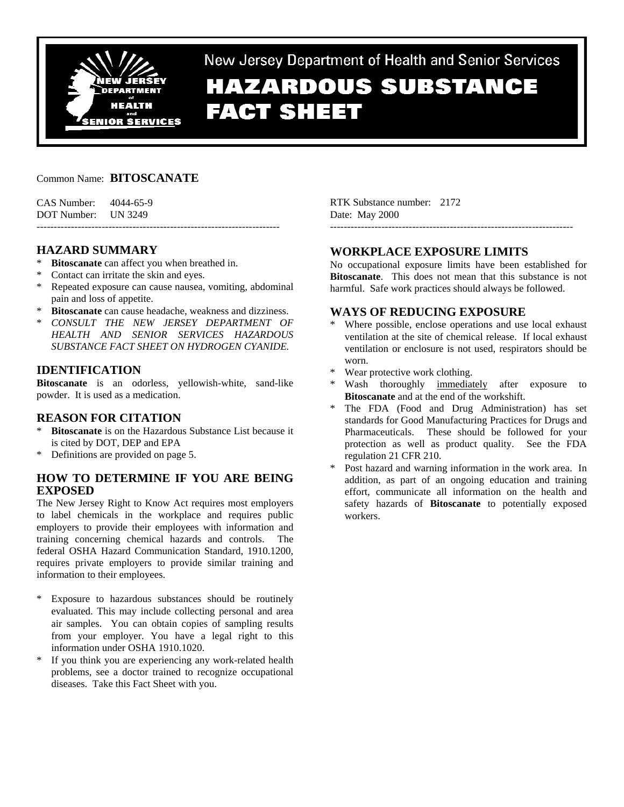

New Jersey Department of Health and Senior Services

# **HAZARDOUS SUBSTANCE FACT SHEET**

# Common Name: **BITOSCANATE**

| CAS Number: | 4044-65-9 |
|-------------|-----------|
| DOT Number: | UN 3249   |

# **HAZARD SUMMARY**

- **Bitoscanate** can affect you when breathed in.
- Contact can irritate the skin and eyes.
- \* Repeated exposure can cause nausea, vomiting, abdominal pain and loss of appetite.

-----------------------------------------------------------------------

- **Bitoscanate** can cause headache, weakness and dizziness.
- \* *CONSULT THE NEW JERSEY DEPARTMENT OF HEALTH AND SENIOR SERVICES HAZARDOUS SUBSTANCE FACT SHEET ON HYDROGEN CYANIDE.*

# **IDENTIFICATION**

**Bitoscanate** is an odorless, yellowish-white, sand-like powder. It is used as a medication.

# **REASON FOR CITATION**

- **Bitoscanate** is on the Hazardous Substance List because it is cited by DOT, DEP and EPA
- \* Definitions are provided on page 5.

# **HOW TO DETERMINE IF YOU ARE BEING EXPOSED**

The New Jersey Right to Know Act requires most employers to label chemicals in the workplace and requires public employers to provide their employees with information and training concerning chemical hazards and controls. The federal OSHA Hazard Communication Standard, 1910.1200, requires private employers to provide similar training and information to their employees.

- \* Exposure to hazardous substances should be routinely evaluated. This may include collecting personal and area air samples. You can obtain copies of sampling results from your employer. You have a legal right to this information under OSHA 1910.1020.
- \* If you think you are experiencing any work-related health problems, see a doctor trained to recognize occupational diseases. Take this Fact Sheet with you.

RTK Substance number: 2172 Date: May 2000

# **WORKPLACE EXPOSURE LIMITS**

-----------------------------------------------------------------------

No occupational exposure limits have been established for **Bitoscanate**. This does not mean that this substance is not harmful. Safe work practices should always be followed.

# **WAYS OF REDUCING EXPOSURE**

- Where possible, enclose operations and use local exhaust ventilation at the site of chemical release. If local exhaust ventilation or enclosure is not used, respirators should be worn.
- Wear protective work clothing.
- Wash thoroughly immediately after exposure to **Bitoscanate** and at the end of the workshift.
- The FDA (Food and Drug Administration) has set standards for Good Manufacturing Practices for Drugs and Pharmaceuticals. These should be followed for your protection as well as product quality. See the FDA regulation 21 CFR 210.
- Post hazard and warning information in the work area. In addition, as part of an ongoing education and training effort, communicate all information on the health and safety hazards of **Bitoscanate** to potentially exposed workers.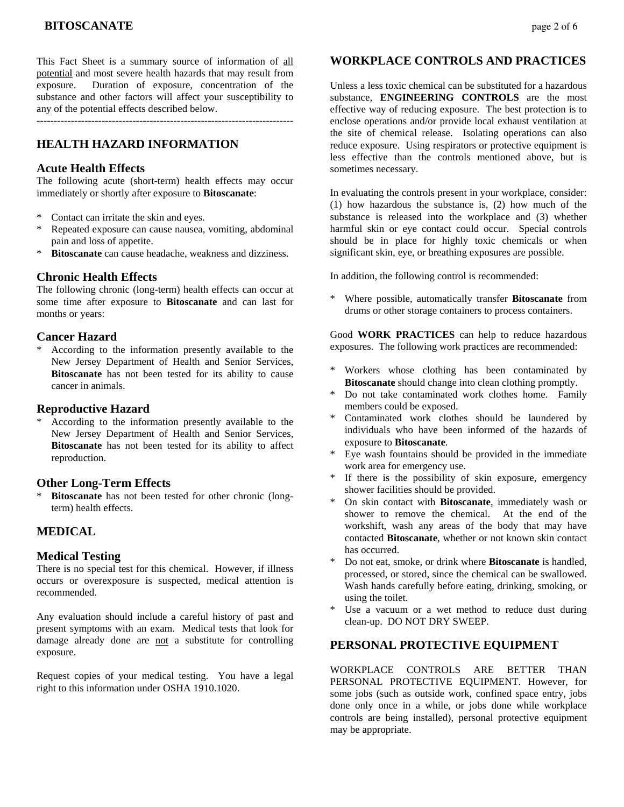This Fact Sheet is a summary source of information of all potential and most severe health hazards that may result from exposure. Duration of exposure, concentration of the substance and other factors will affect your susceptibility to any of the potential effects described below.

---------------------------------------------------------------------------

# **HEALTH HAZARD INFORMATION**

## **Acute Health Effects**

The following acute (short-term) health effects may occur immediately or shortly after exposure to **Bitoscanate**:

- Contact can irritate the skin and eyes.
- \* Repeated exposure can cause nausea, vomiting, abdominal pain and loss of appetite.
- \* **Bitoscanate** can cause headache, weakness and dizziness.

# **Chronic Health Effects**

The following chronic (long-term) health effects can occur at some time after exposure to **Bitoscanate** and can last for months or years:

# **Cancer Hazard**

\* According to the information presently available to the New Jersey Department of Health and Senior Services, **Bitoscanate** has not been tested for its ability to cause cancer in animals.

# **Reproductive Hazard**

According to the information presently available to the New Jersey Department of Health and Senior Services, **Bitoscanate** has not been tested for its ability to affect reproduction.

# **Other Long-Term Effects**

**Bitoscanate** has not been tested for other chronic (longterm) health effects.

# **MEDICAL**

# **Medical Testing**

There is no special test for this chemical. However, if illness occurs or overexposure is suspected, medical attention is recommended.

Any evaluation should include a careful history of past and present symptoms with an exam. Medical tests that look for damage already done are not a substitute for controlling exposure.

Request copies of your medical testing. You have a legal right to this information under OSHA 1910.1020.

# **WORKPLACE CONTROLS AND PRACTICES**

Unless a less toxic chemical can be substituted for a hazardous substance, **ENGINEERING CONTROLS** are the most effective way of reducing exposure. The best protection is to enclose operations and/or provide local exhaust ventilation at the site of chemical release. Isolating operations can also reduce exposure. Using respirators or protective equipment is less effective than the controls mentioned above, but is sometimes necessary.

In evaluating the controls present in your workplace, consider: (1) how hazardous the substance is, (2) how much of the substance is released into the workplace and (3) whether harmful skin or eye contact could occur. Special controls should be in place for highly toxic chemicals or when significant skin, eye, or breathing exposures are possible.

In addition, the following control is recommended:

\* Where possible, automatically transfer **Bitoscanate** from drums or other storage containers to process containers.

Good **WORK PRACTICES** can help to reduce hazardous exposures. The following work practices are recommended:

- Workers whose clothing has been contaminated by **Bitoscanate** should change into clean clothing promptly.
- \* Do not take contaminated work clothes home. Family members could be exposed.
- Contaminated work clothes should be laundered by individuals who have been informed of the hazards of exposure to **Bitoscanate**.
- Eye wash fountains should be provided in the immediate work area for emergency use.
- If there is the possibility of skin exposure, emergency shower facilities should be provided.
- \* On skin contact with **Bitoscanate**, immediately wash or shower to remove the chemical. At the end of the workshift, wash any areas of the body that may have contacted **Bitoscanate**, whether or not known skin contact has occurred.
- Do not eat, smoke, or drink where **Bitoscanate** is handled, processed, or stored, since the chemical can be swallowed. Wash hands carefully before eating, drinking, smoking, or using the toilet.
- Use a vacuum or a wet method to reduce dust during clean-up. DO NOT DRY SWEEP.

# **PERSONAL PROTECTIVE EQUIPMENT**

WORKPLACE CONTROLS ARE BETTER THAN PERSONAL PROTECTIVE EQUIPMENT. However, for some jobs (such as outside work, confined space entry, jobs done only once in a while, or jobs done while workplace controls are being installed), personal protective equipment may be appropriate.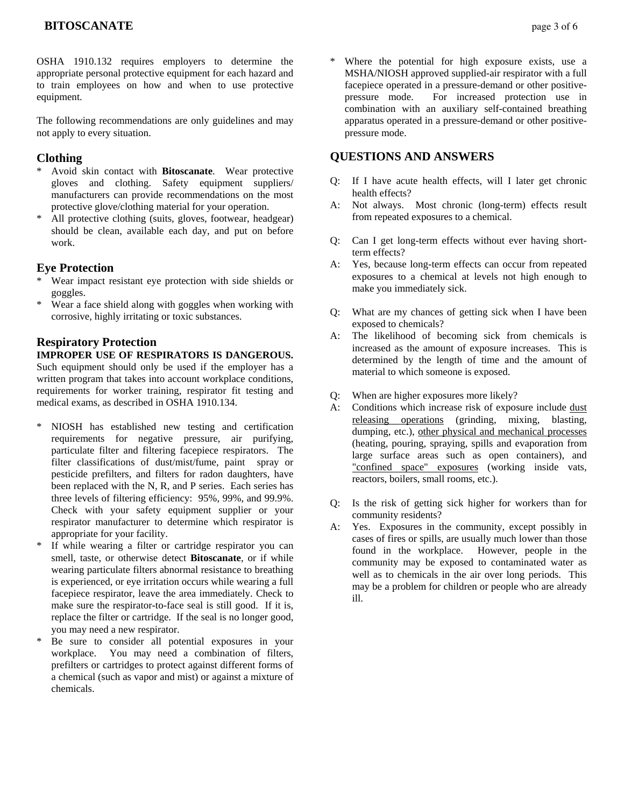OSHA 1910.132 requires employers to determine the appropriate personal protective equipment for each hazard and to train employees on how and when to use protective equipment.

The following recommendations are only guidelines and may not apply to every situation.

# **Clothing**

- Avoid skin contact with **Bitoscanate**. Wear protective gloves and clothing. Safety equipment suppliers/ manufacturers can provide recommendations on the most protective glove/clothing material for your operation.
- \* All protective clothing (suits, gloves, footwear, headgear) should be clean, available each day, and put on before work.

## **Eye Protection**

- Wear impact resistant eye protection with side shields or goggles.
- \* Wear a face shield along with goggles when working with corrosive, highly irritating or toxic substances.

# **Respiratory Protection**

#### **IMPROPER USE OF RESPIRATORS IS DANGEROUS.**

Such equipment should only be used if the employer has a written program that takes into account workplace conditions, requirements for worker training, respirator fit testing and medical exams, as described in OSHA 1910.134.

- \* NIOSH has established new testing and certification requirements for negative pressure, air purifying, particulate filter and filtering facepiece respirators. The filter classifications of dust/mist/fume, paint spray or pesticide prefilters, and filters for radon daughters, have been replaced with the N, R, and P series. Each series has three levels of filtering efficiency: 95%, 99%, and 99.9%. Check with your safety equipment supplier or your respirator manufacturer to determine which respirator is appropriate for your facility.
- \* If while wearing a filter or cartridge respirator you can smell, taste, or otherwise detect **Bitoscanate**, or if while wearing particulate filters abnormal resistance to breathing is experienced, or eye irritation occurs while wearing a full facepiece respirator, leave the area immediately. Check to make sure the respirator-to-face seal is still good. If it is, replace the filter or cartridge. If the seal is no longer good, you may need a new respirator.
- Be sure to consider all potential exposures in your workplace. You may need a combination of filters, prefilters or cartridges to protect against different forms of a chemical (such as vapor and mist) or against a mixture of chemicals.

Where the potential for high exposure exists, use a MSHA/NIOSH approved supplied-air respirator with a full facepiece operated in a pressure-demand or other positivepressure mode. For increased protection use in combination with an auxiliary self-contained breathing apparatus operated in a pressure-demand or other positivepressure mode.

# **QUESTIONS AND ANSWERS**

- Q: If I have acute health effects, will I later get chronic health effects?
- A: Not always. Most chronic (long-term) effects result from repeated exposures to a chemical.
- Q: Can I get long-term effects without ever having shortterm effects?
- A: Yes, because long-term effects can occur from repeated exposures to a chemical at levels not high enough to make you immediately sick.
- Q: What are my chances of getting sick when I have been exposed to chemicals?
- A: The likelihood of becoming sick from chemicals is increased as the amount of exposure increases. This is determined by the length of time and the amount of material to which someone is exposed.
- Q: When are higher exposures more likely?
- A: Conditions which increase risk of exposure include dust releasing operations (grinding, mixing, blasting, dumping, etc.), other physical and mechanical processes (heating, pouring, spraying, spills and evaporation from large surface areas such as open containers), and "confined space" exposures (working inside vats, reactors, boilers, small rooms, etc.).
- Q: Is the risk of getting sick higher for workers than for community residents?
- A: Yes. Exposures in the community, except possibly in cases of fires or spills, are usually much lower than those found in the workplace. However, people in the community may be exposed to contaminated water as well as to chemicals in the air over long periods. This may be a problem for children or people who are already ill.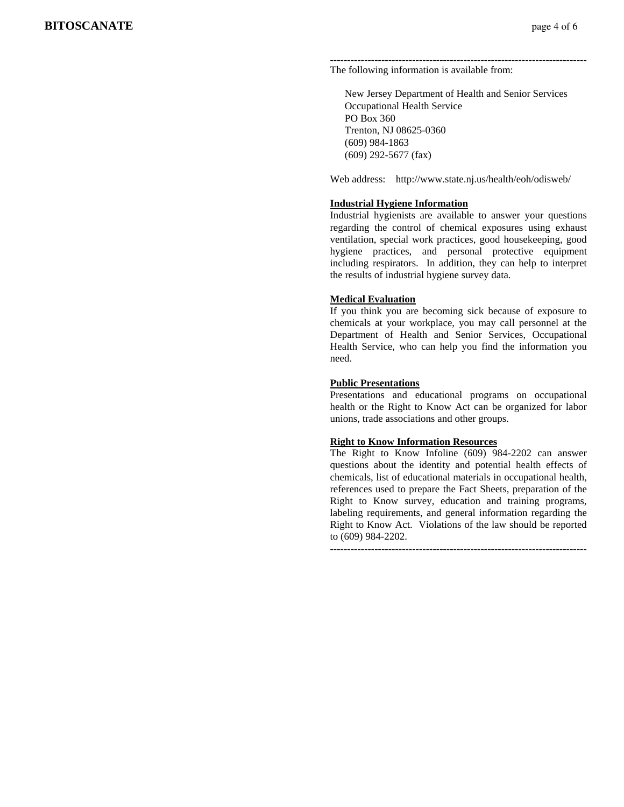#### --------------------------------------------------------------------------- The following information is available from:

 New Jersey Department of Health and Senior Services Occupational Health Service PO Box 360 Trenton, NJ 08625-0360 (609) 984-1863 (609) 292-5677 (fax)

Web address: http://www.state.nj.us/health/eoh/odisweb/

#### **Industrial Hygiene Information**

Industrial hygienists are available to answer your questions regarding the control of chemical exposures using exhaust ventilation, special work practices, good housekeeping, good hygiene practices, and personal protective equipment including respirators. In addition, they can help to interpret the results of industrial hygiene survey data.

#### **Medical Evaluation**

If you think you are becoming sick because of exposure to chemicals at your workplace, you may call personnel at the Department of Health and Senior Services, Occupational Health Service, who can help you find the information you need.

#### **Public Presentations**

Presentations and educational programs on occupational health or the Right to Know Act can be organized for labor unions, trade associations and other groups.

#### **Right to Know Information Resources**

The Right to Know Infoline (609) 984-2202 can answer questions about the identity and potential health effects of chemicals, list of educational materials in occupational health, references used to prepare the Fact Sheets, preparation of the Right to Know survey, education and training programs, labeling requirements, and general information regarding the Right to Know Act. Violations of the law should be reported to (609) 984-2202.

---------------------------------------------------------------------------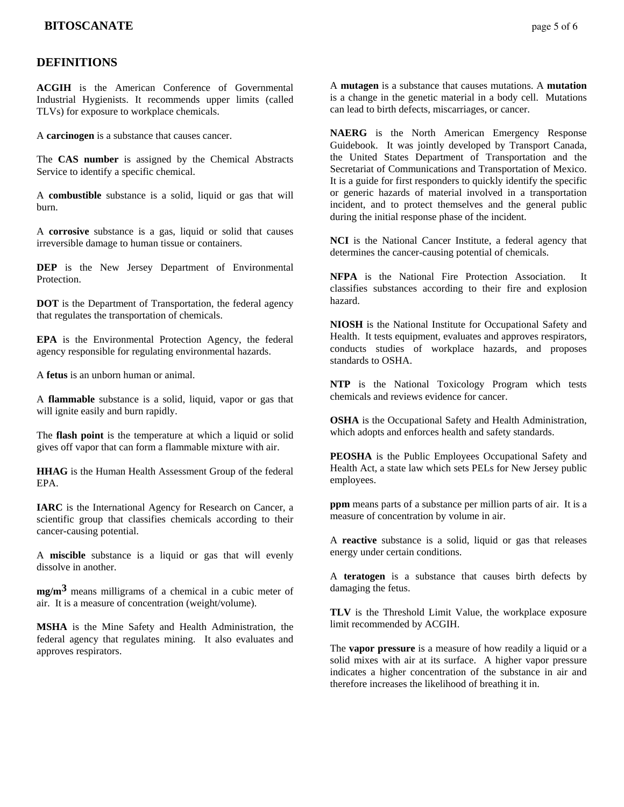# **DEFINITIONS**

**ACGIH** is the American Conference of Governmental Industrial Hygienists. It recommends upper limits (called TLVs) for exposure to workplace chemicals.

A **carcinogen** is a substance that causes cancer.

The **CAS number** is assigned by the Chemical Abstracts Service to identify a specific chemical.

A **combustible** substance is a solid, liquid or gas that will burn.

A **corrosive** substance is a gas, liquid or solid that causes irreversible damage to human tissue or containers.

**DEP** is the New Jersey Department of Environmental Protection.

**DOT** is the Department of Transportation, the federal agency that regulates the transportation of chemicals.

**EPA** is the Environmental Protection Agency, the federal agency responsible for regulating environmental hazards.

A **fetus** is an unborn human or animal.

A **flammable** substance is a solid, liquid, vapor or gas that will ignite easily and burn rapidly.

The **flash point** is the temperature at which a liquid or solid gives off vapor that can form a flammable mixture with air.

**HHAG** is the Human Health Assessment Group of the federal EPA.

**IARC** is the International Agency for Research on Cancer, a scientific group that classifies chemicals according to their cancer-causing potential.

A **miscible** substance is a liquid or gas that will evenly dissolve in another.

**mg/m3** means milligrams of a chemical in a cubic meter of air. It is a measure of concentration (weight/volume).

**MSHA** is the Mine Safety and Health Administration, the federal agency that regulates mining. It also evaluates and approves respirators.

A **mutagen** is a substance that causes mutations. A **mutation** is a change in the genetic material in a body cell. Mutations can lead to birth defects, miscarriages, or cancer.

**NAERG** is the North American Emergency Response Guidebook. It was jointly developed by Transport Canada, the United States Department of Transportation and the Secretariat of Communications and Transportation of Mexico. It is a guide for first responders to quickly identify the specific or generic hazards of material involved in a transportation incident, and to protect themselves and the general public during the initial response phase of the incident.

**NCI** is the National Cancer Institute, a federal agency that determines the cancer-causing potential of chemicals.

**NFPA** is the National Fire Protection Association. It classifies substances according to their fire and explosion hazard.

**NIOSH** is the National Institute for Occupational Safety and Health. It tests equipment, evaluates and approves respirators, conducts studies of workplace hazards, and proposes standards to OSHA.

**NTP** is the National Toxicology Program which tests chemicals and reviews evidence for cancer.

**OSHA** is the Occupational Safety and Health Administration, which adopts and enforces health and safety standards.

**PEOSHA** is the Public Employees Occupational Safety and Health Act, a state law which sets PELs for New Jersey public employees.

**ppm** means parts of a substance per million parts of air. It is a measure of concentration by volume in air.

A **reactive** substance is a solid, liquid or gas that releases energy under certain conditions.

A **teratogen** is a substance that causes birth defects by damaging the fetus.

**TLV** is the Threshold Limit Value, the workplace exposure limit recommended by ACGIH.

The **vapor pressure** is a measure of how readily a liquid or a solid mixes with air at its surface. A higher vapor pressure indicates a higher concentration of the substance in air and therefore increases the likelihood of breathing it in.